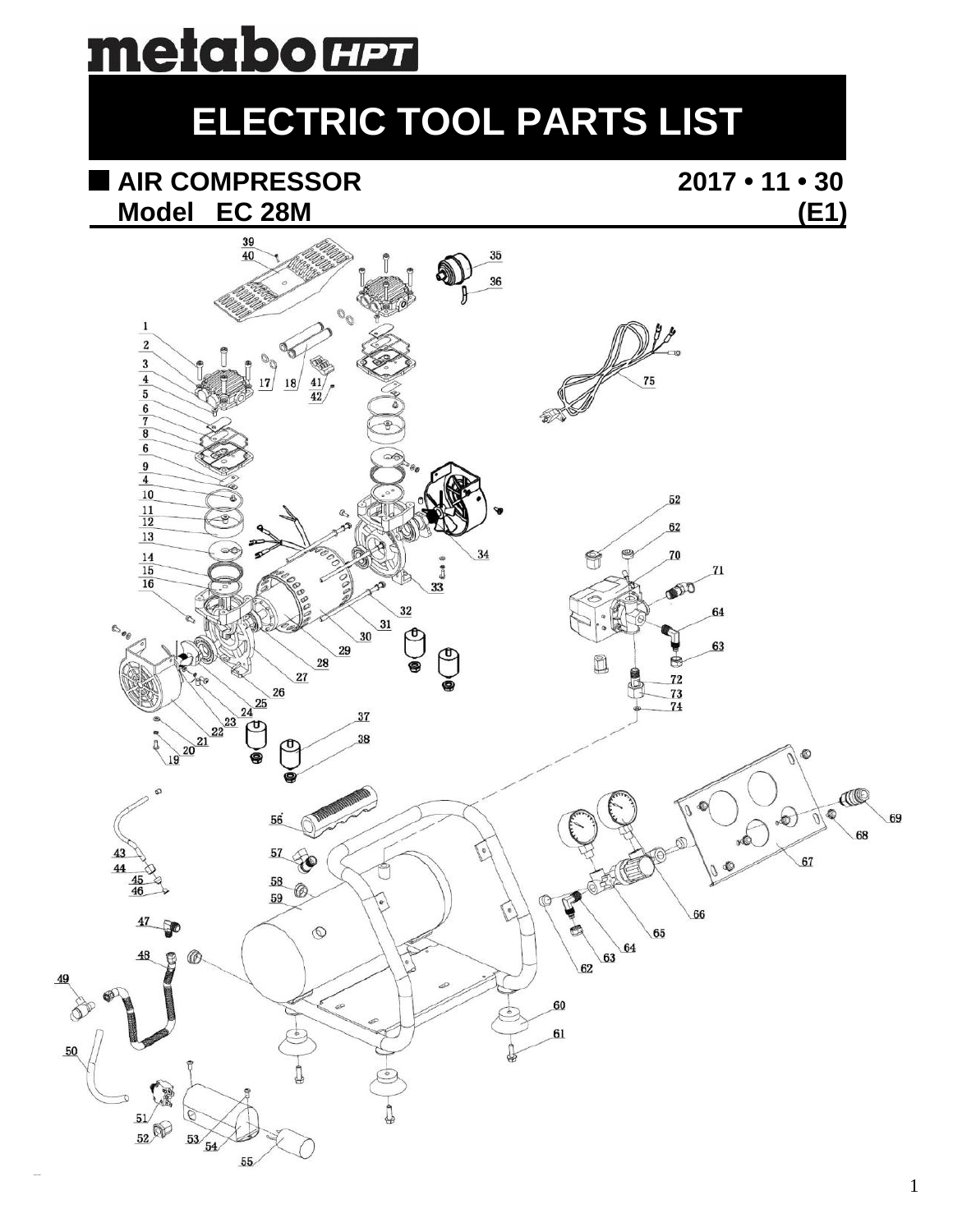# <u>metaborm</u>

### **ELECTRIC TOOL PARTS LIST**

## **AIR COMPRESSOR 2017 • 11 • 30**

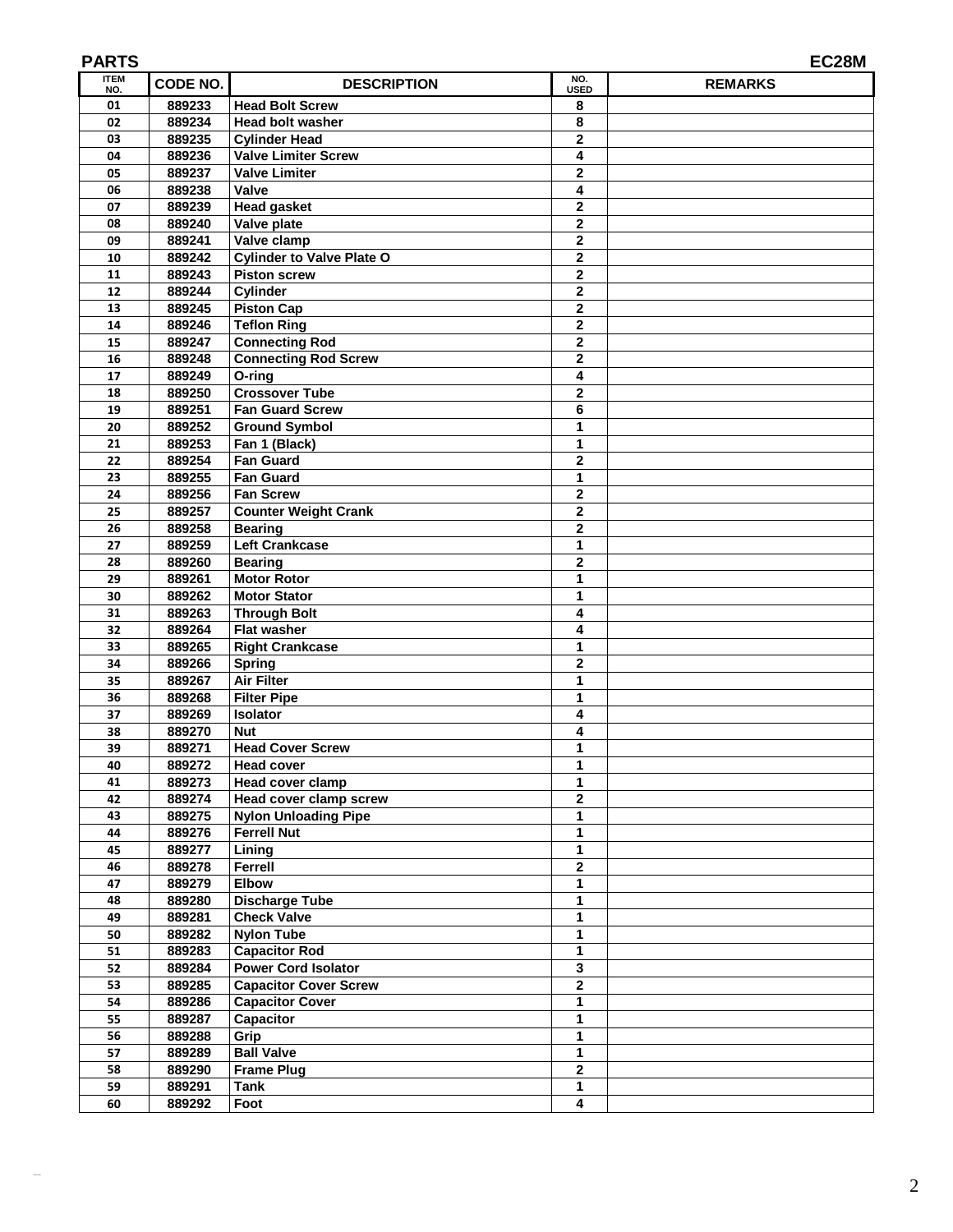| <b>ITEM</b> |          |                                  | NO.                     | EC28M          |
|-------------|----------|----------------------------------|-------------------------|----------------|
| NO.         | CODE NO. | <b>DESCRIPTION</b>               | <b>USED</b>             | <b>REMARKS</b> |
| 01          | 889233   | <b>Head Bolt Screw</b>           | 8                       |                |
| 02          | 889234   | <b>Head bolt washer</b>          | 8                       |                |
| 03          | 889235   | <b>Cylinder Head</b>             | $\mathbf 2$             |                |
| 04          | 889236   | Valve Limiter Screw              | 4                       |                |
| 05          | 889237   | <b>Valve Limiter</b>             | $\mathbf 2$             |                |
| 06          | 889238   | Valve                            | 4                       |                |
| 07          | 889239   | <b>Head gasket</b>               | $\mathbf 2$             |                |
| 08          | 889240   | Valve plate                      | $\mathbf 2$             |                |
| 09          | 889241   | Valve clamp                      | $\mathbf 2$             |                |
| 10          | 889242   | <b>Cylinder to Valve Plate O</b> | $\mathbf 2$             |                |
| 11          | 889243   | <b>Piston screw</b>              | 2                       |                |
| 12          | 889244   | <b>Cylinder</b>                  | 2                       |                |
| 13          | 889245   | <b>Piston Cap</b>                | $\mathbf 2$             |                |
| 14          | 889246   | <b>Teflon Ring</b>               | $\overline{\mathbf{2}}$ |                |
| 15          | 889247   | <b>Connecting Rod</b>            | $\mathbf 2$             |                |
| 16          | 889248   | <b>Connecting Rod Screw</b>      | $\mathbf 2$             |                |
| 17          | 889249   | $O$ -ring                        | 4                       |                |
| 18          | 889250   | <b>Crossover Tube</b>            | $\mathbf{2}$            |                |
| 19          | 889251   | <b>Fan Guard Screw</b>           | 6                       |                |
| 20          | 889252   | <b>Ground Symbol</b>             | 1                       |                |
| 21          | 889253   | Fan 1 (Black)                    | 1                       |                |
| 22          | 889254   | <b>Fan Guard</b>                 | $\mathbf 2$             |                |
| 23          | 889255   | <b>Fan Guard</b>                 | 1                       |                |
| 24          | 889256   | <b>Fan Screw</b>                 | $\mathbf 2$             |                |
| 25          | 889257   | <b>Counter Weight Crank</b>      | $\mathbf 2$             |                |
| 26          | 889258   | <b>Bearing</b>                   | $\mathbf 2$             |                |
| 27          | 889259   | <b>Left Crankcase</b>            | 1                       |                |
| 28          | 889260   | <b>Bearing</b>                   | $\mathbf{2}$            |                |
| 29          | 889261   | <b>Motor Rotor</b>               | 1                       |                |
| 30          | 889262   | <b>Motor Stator</b>              | $\mathbf{1}$            |                |
| 31          | 889263   | <b>Through Bolt</b>              | 4                       |                |
| 32          | 889264   | Flat washer                      | 4                       |                |
| 33          | 889265   | <b>Right Crankcase</b>           | 1                       |                |
| 34          | 889266   | <b>Spring</b>                    | $\mathbf{2}$            |                |
| 35          | 889267   | <b>Air Filter</b>                | 1                       |                |
| 36          | 889268   | <b>Filter Pipe</b>               | 1                       |                |
| 37          | 889269   | <b>Isolator</b>                  | 4                       |                |
| 38          | 889270   | <b>Nut</b>                       | 4                       |                |
| 39          | 889271   | <b>Head Cover Screw</b>          | 1                       |                |
| 40          | 889272   | <b>Head cover</b>                | 1                       |                |
| 41          | 889273   | Head cover clamp                 | 1                       |                |
| 42          | 889274   | Head cover clamp screw           | $\overline{2}$          |                |
| 43          | 889275   | <b>Nylon Unloading Pipe</b>      | $\mathbf{1}$            |                |
| 44          | 889276   | <b>Ferrell Nut</b>               | $\mathbf{1}$            |                |
| 45          | 889277   | Lining                           | 1                       |                |
| 46          | 889278   | Ferrell                          | $\mathbf 2$             |                |
| 47          | 889279   | <b>Elbow</b>                     | $\mathbf{1}$            |                |
| 48          | 889280   | <b>Discharge Tube</b>            | $\mathbf{1}$            |                |
| 49          | 889281   | <b>Check Valve</b>               | 1                       |                |
| 50          | 889282   | <b>Nylon Tube</b>                | 1                       |                |
| 51          | 889283   | <b>Capacitor Rod</b>             | 1                       |                |
| 52          | 889284   | <b>Power Cord Isolator</b>       | 3                       |                |
| 53          | 889285   | <b>Capacitor Cover Screw</b>     | $\overline{2}$          |                |
| 54          | 889286   | <b>Capacitor Cover</b>           | $\mathbf{1}$            |                |
| 55          | 889287   | Capacitor                        | 1                       |                |
| 56          | 889288   | Grip                             | 1                       |                |
| 57          | 889289   | <b>Ball Valve</b>                | $\overline{1}$          |                |
| 58          | 889290   | <b>Frame Plug</b>                | $\mathbf{2}$            |                |
| 59          | 889291   | Tank                             | $\mathbf{1}$            |                |
| 60          | 889292   | Foot                             | 4                       |                |
|             |          |                                  |                         |                |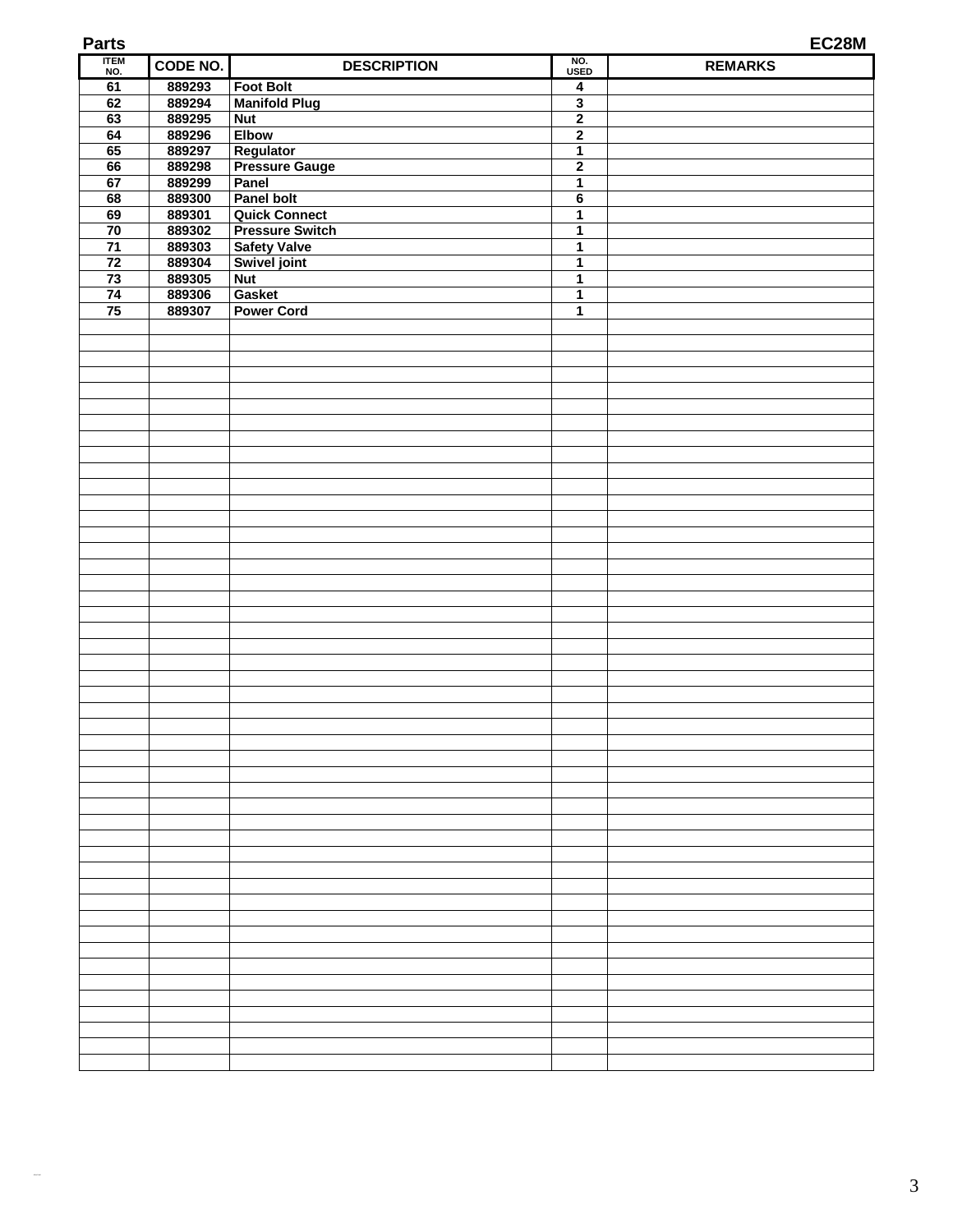| <b>Parts</b>          |                  |                                                |                         | EC28M          |
|-----------------------|------------------|------------------------------------------------|-------------------------|----------------|
| <b>ITEM</b><br>NO.    | CODE NO.         | <b>DESCRIPTION</b>                             | NO.<br><b>USED</b>      | <b>REMARKS</b> |
| 61                    | 889293           | <b>Foot Bolt</b>                               | $\overline{\mathbf{4}}$ |                |
| 62                    | 889294           | <b>Manifold Plug</b>                           | $\overline{\mathbf{3}}$ |                |
| 63                    | 889295           | <b>Nut</b>                                     | $\overline{2}$          |                |
| 64                    | 889296           | <b>Elbow</b>                                   | $\overline{2}$          |                |
| 65                    | 889297           | Regulator                                      | 1                       |                |
| 66                    | 889298           | <b>Pressure Gauge</b>                          | $\overline{2}$          |                |
| 67                    | 889299           | Panel                                          | $\mathbf{1}$            |                |
| 68                    | 889300           | Panel bolt                                     | $\bf 6$                 |                |
| 69<br>$\overline{70}$ | 889301<br>889302 | <b>Quick Connect</b><br><b>Pressure Switch</b> | 1<br>1                  |                |
| $\overline{71}$       | 889303           | <b>Safety Valve</b>                            | $\mathbf{1}$            |                |
| $\overline{72}$       | 889304           | Swivel joint                                   | 1                       |                |
| $\overline{73}$       | 889305           | <b>Nut</b>                                     | $\mathbf{1}$            |                |
| 74                    | 889306           | Gasket                                         | 1                       |                |
| $\overline{75}$       | 889307           | <b>Power Cord</b>                              | 1                       |                |
|                       |                  |                                                |                         |                |
|                       |                  |                                                |                         |                |
|                       |                  |                                                |                         |                |
|                       |                  |                                                |                         |                |
|                       |                  |                                                |                         |                |
|                       |                  |                                                |                         |                |
|                       |                  |                                                |                         |                |
|                       |                  |                                                |                         |                |
|                       |                  |                                                |                         |                |
|                       |                  |                                                |                         |                |
|                       |                  |                                                |                         |                |
|                       |                  |                                                |                         |                |
|                       |                  |                                                |                         |                |
|                       |                  |                                                |                         |                |
|                       |                  |                                                |                         |                |
|                       |                  |                                                |                         |                |
|                       |                  |                                                |                         |                |
|                       |                  |                                                |                         |                |
|                       |                  |                                                |                         |                |
|                       |                  |                                                |                         |                |
|                       |                  |                                                |                         |                |
|                       |                  |                                                |                         |                |
|                       |                  |                                                |                         |                |
|                       |                  |                                                |                         |                |
|                       |                  |                                                |                         |                |
|                       |                  |                                                |                         |                |
|                       |                  |                                                |                         |                |
|                       |                  |                                                |                         |                |
|                       |                  |                                                |                         |                |
|                       |                  |                                                |                         |                |
|                       |                  |                                                |                         |                |
|                       |                  |                                                |                         |                |
|                       |                  |                                                |                         |                |
|                       |                  |                                                |                         |                |
|                       |                  |                                                |                         |                |
|                       |                  |                                                |                         |                |
|                       |                  |                                                |                         |                |
|                       |                  |                                                |                         |                |
|                       |                  |                                                |                         |                |
|                       |                  |                                                |                         |                |
|                       |                  |                                                |                         |                |
|                       |                  |                                                |                         |                |
|                       |                  |                                                |                         |                |
|                       |                  |                                                |                         |                |